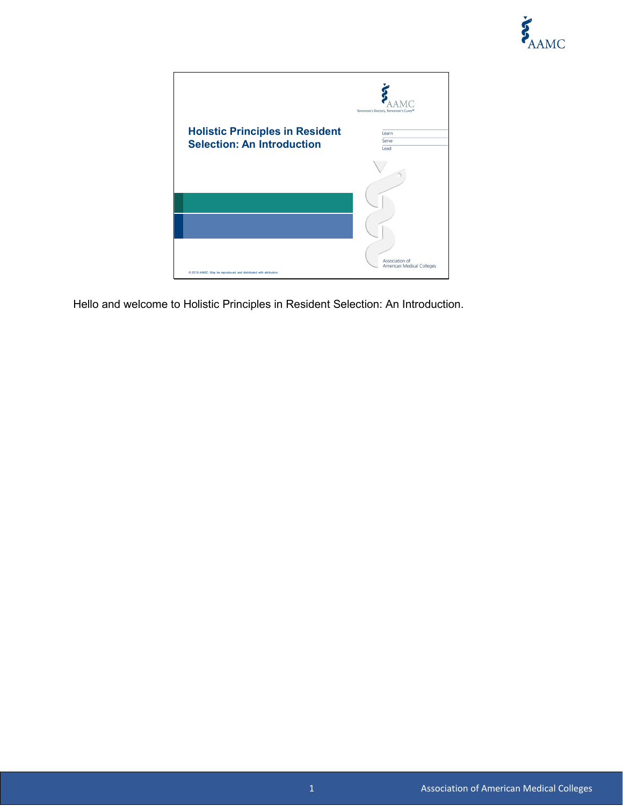

|                                                                  | Tomorrow's Doctors, Tomorrow's Cures <sup>®</sup> |
|------------------------------------------------------------------|---------------------------------------------------|
| <b>Holistic Principles in Resident</b>                           | Learn                                             |
| <b>Selection: An Introduction</b>                                | Serve                                             |
|                                                                  | Lead                                              |
|                                                                  |                                                   |
|                                                                  |                                                   |
|                                                                  |                                                   |
|                                                                  | Association of                                    |
| @ 2019 AAMC. May be reproduced and distributed with attribution. | American Medical Colleges                         |

Hello and welcome to Holistic Principles in Resident Selection: An Introduction.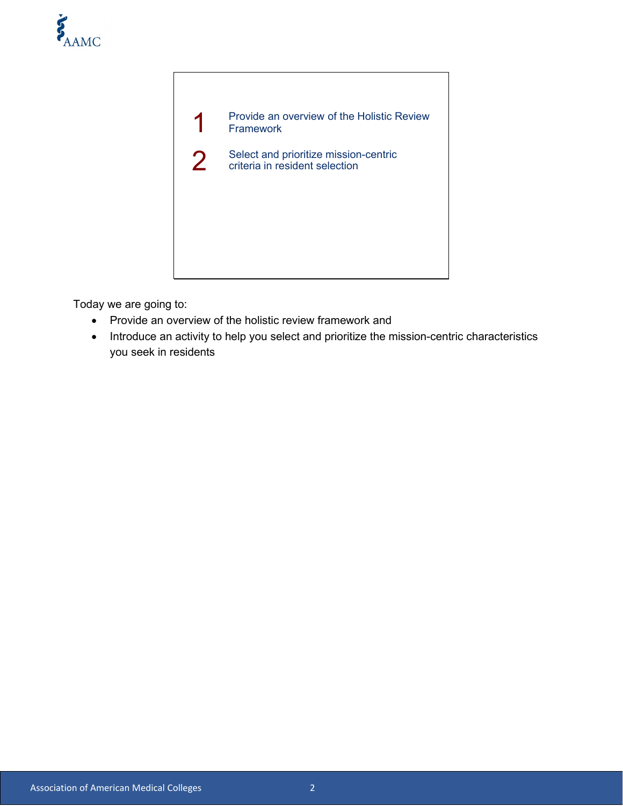



Today we are going to:

- Provide an overview of the holistic review framework and
- Introduce an activity to help you select and prioritize the mission-centric characteristics you seek in residents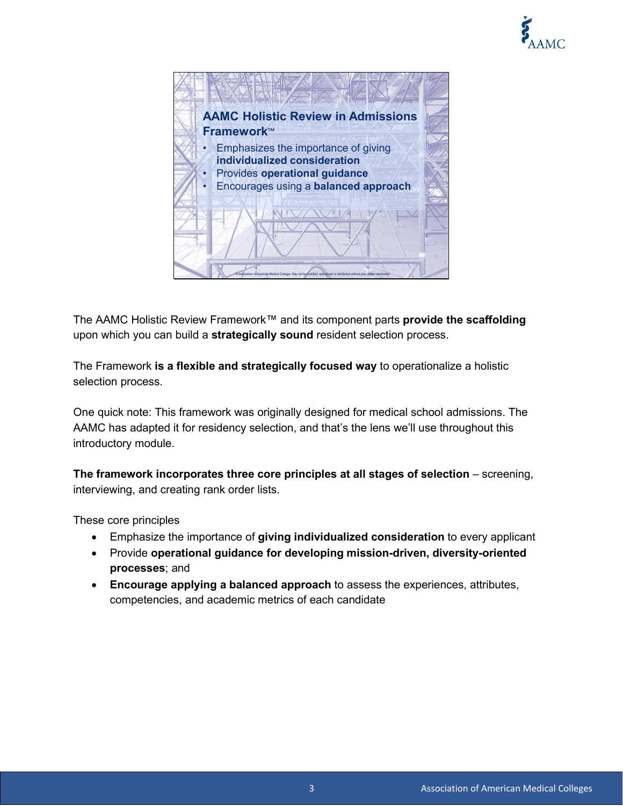



The AAMC Holistic Review Framework™ and its component parts **provide the scaffolding**  upon which you can build a **strategically sound** resident selection process.

The Framework **is a flexible and strategically focused way** to operationalize a holistic selection process.

One quick note: This framework was originally designed for medical school admissions. The AAMC has adapted it for residency selection, and that's the lens we'll use throughout this introductory module.

**The framework incorporates three core principles at all stages of selection** – screening, interviewing, and creating rank order lists.

These core principles

- Emphasize the importance of **giving individualized consideration** to every applicant
- Provide **operational guidance for developing mission-driven, diversity-oriented processes**; and
- **Encourage applying a balanced approach** to assess the experiences, attributes, competencies, and academic metrics of each candidate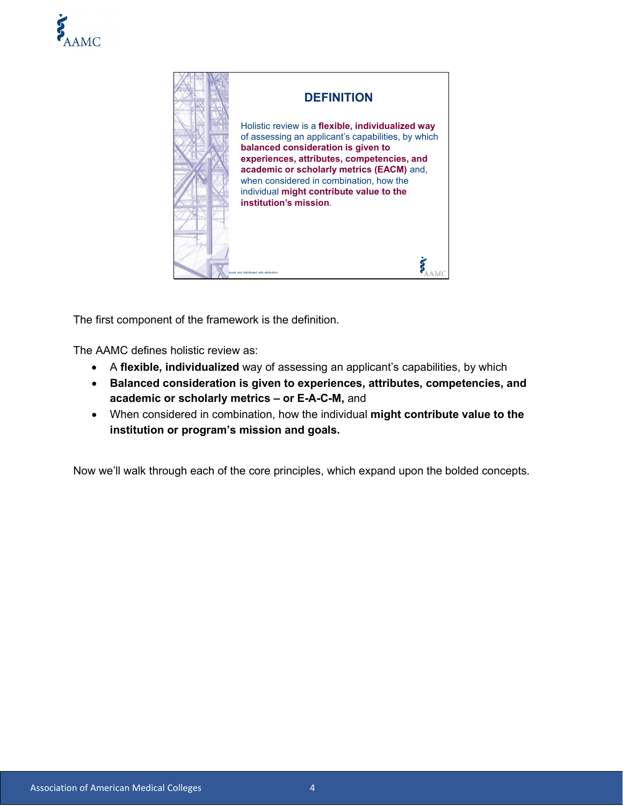



The first component of the framework is the definition.

The AAMC defines holistic review as:

- A **flexible, individualized** way of assessing an applicant's capabilities, by which
- **Balanced consideration is given to experiences, attributes, competencies, and academic or scholarly metrics – or E-A-C-M,** and
- When considered in combination, how the individual **might contribute value to the institution or program's mission and goals.**

Now we'll walk through each of the core principles, which expand upon the bolded concepts.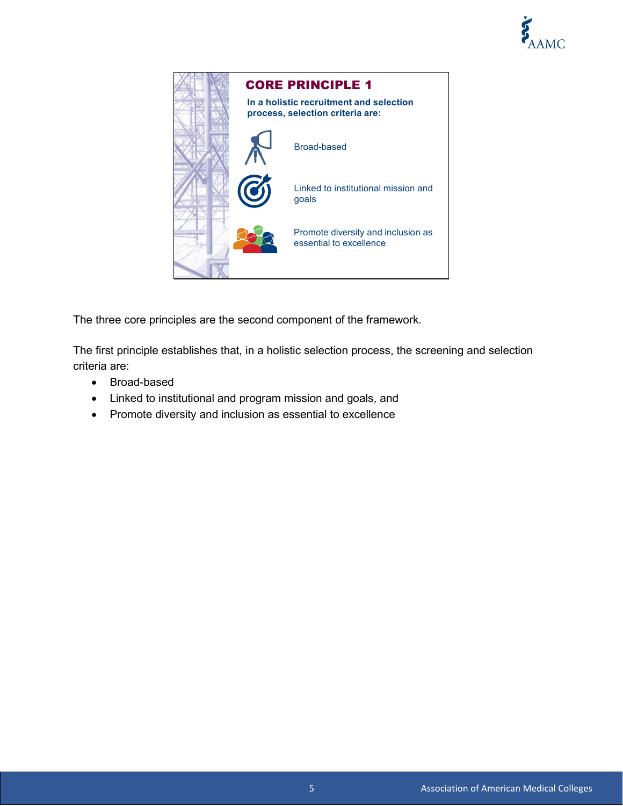



The three core principles are the second component of the framework.

The first principle establishes that, in a holistic selection process, the screening and selection criteria are:

- Broad-based
- Linked to institutional and program mission and goals, and
- Promote diversity and inclusion as essential to excellence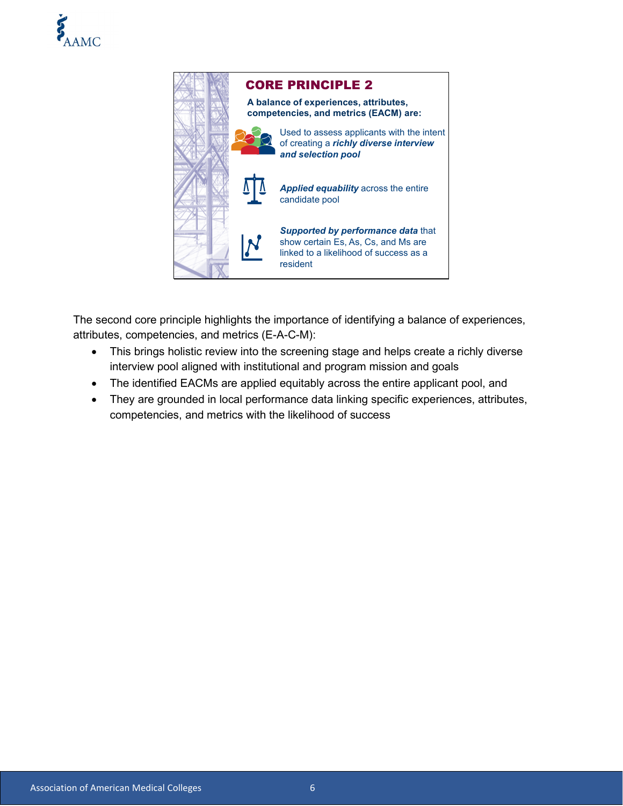



The second core principle highlights the importance of identifying a balance of experiences, attributes, competencies, and metrics (E-A-C-M):

- This brings holistic review into the screening stage and helps create a richly diverse interview pool aligned with institutional and program mission and goals
- The identified EACMs are applied equitably across the entire applicant pool, and
- They are grounded in local performance data linking specific experiences, attributes, competencies, and metrics with the likelihood of success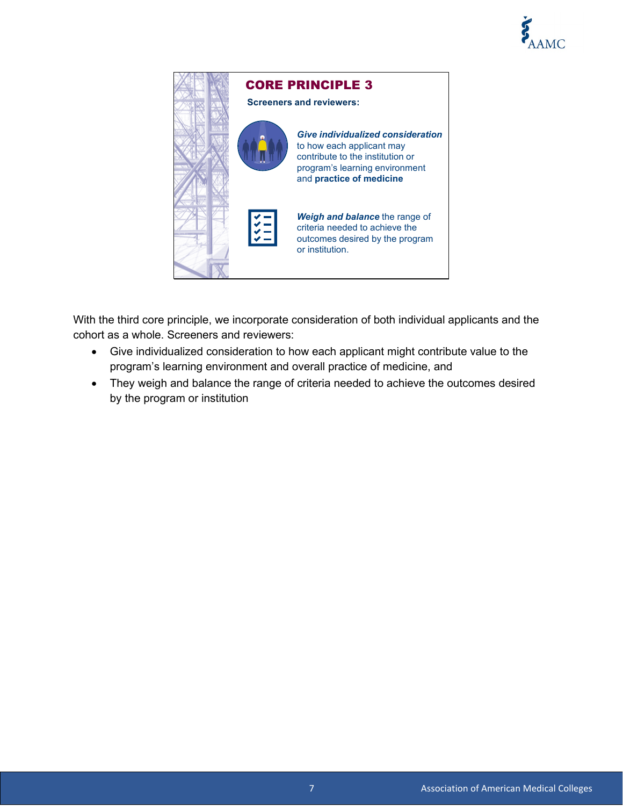



With the third core principle, we incorporate consideration of both individual applicants and the cohort as a whole. Screeners and reviewers:

- Give individualized consideration to how each applicant might contribute value to the program's learning environment and overall practice of medicine, and
- They weigh and balance the range of criteria needed to achieve the outcomes desired by the program or institution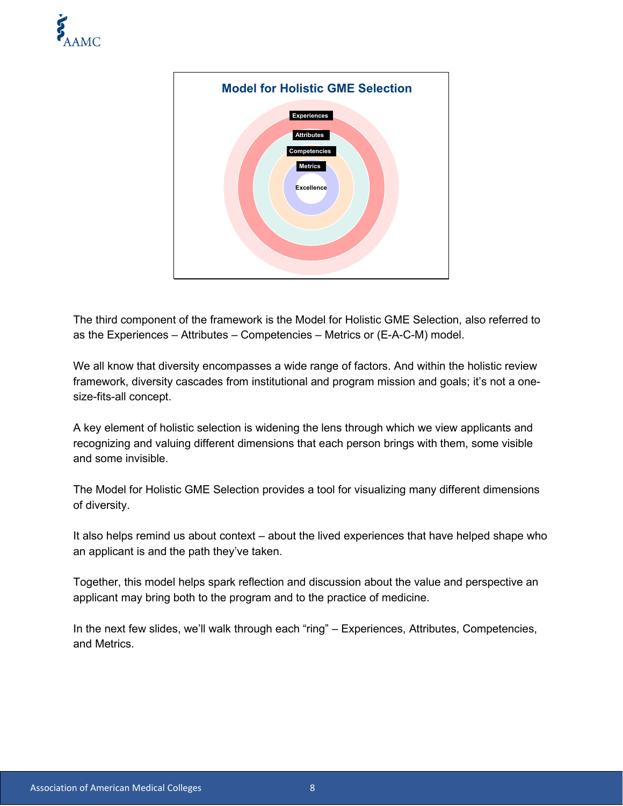



The third component of the framework is the Model for Holistic GME Selection, also referred to as the Experiences – Attributes – Competencies – Metrics or (E-A-C-M) model.

We all know that diversity encompasses a wide range of factors. And within the holistic review framework, diversity cascades from institutional and program mission and goals; it's not a onesize-fits-all concept.

A key element of holistic selection is widening the lens through which we view applicants and recognizing and valuing different dimensions that each person brings with them, some visible and some invisible.

The Model for Holistic GME Selection provides a tool for visualizing many different dimensions of diversity.

It also helps remind us about context – about the lived experiences that have helped shape who an applicant is and the path they've taken.

Together, this model helps spark reflection and discussion about the value and perspective an applicant may bring both to the program and to the practice of medicine.

In the next few slides, we'll walk through each "ring" – Experiences, Attributes, Competencies, and Metrics.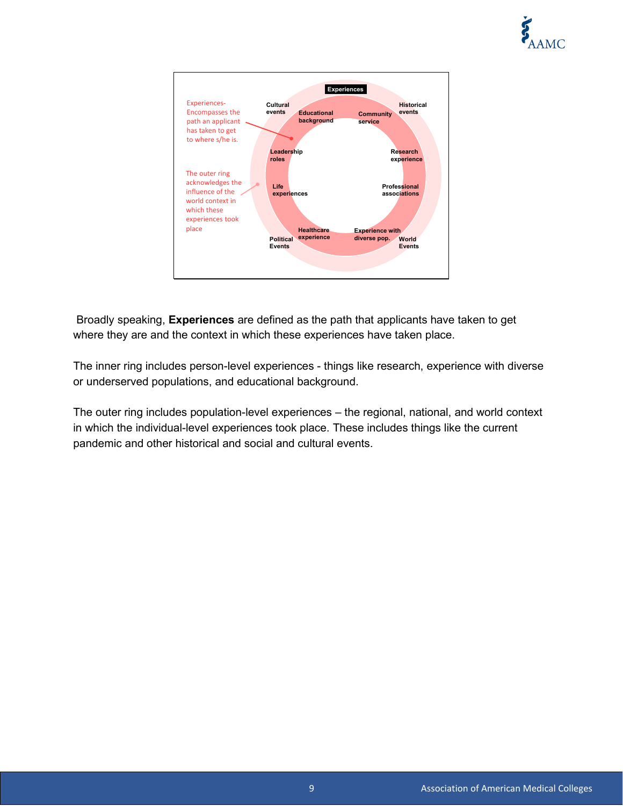



Broadly speaking, **Experiences** are defined as the path that applicants have taken to get where they are and the context in which these experiences have taken place.

The inner ring includes person-level experiences - things like research, experience with diverse or underserved populations, and educational background.

The outer ring includes population-level experiences – the regional, national, and world context in which the individual-level experiences took place. These includes things like the current pandemic and other historical and social and cultural events.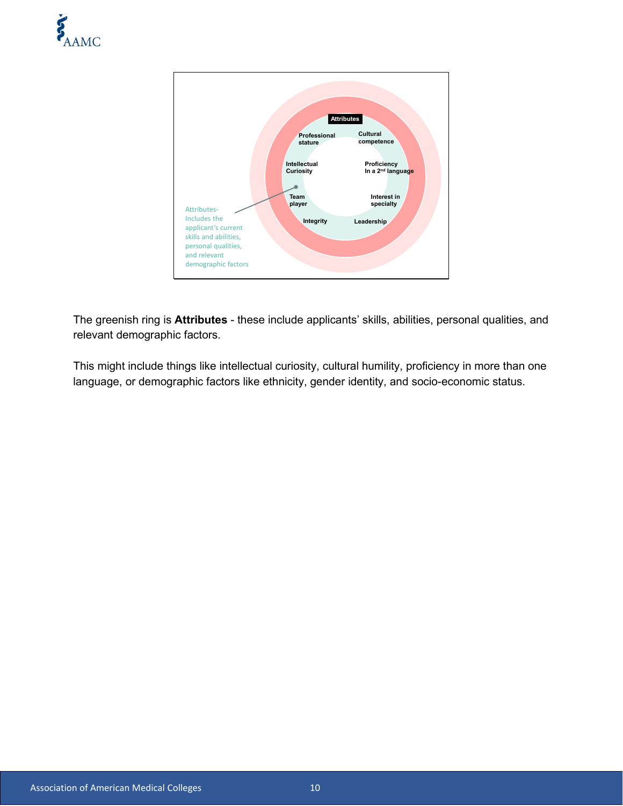



The greenish ring is **Attributes** - these include applicants' skills, abilities, personal qualities, and relevant demographic factors.

This might include things like intellectual curiosity, cultural humility, proficiency in more than one language, or demographic factors like ethnicity, gender identity, and socio-economic status.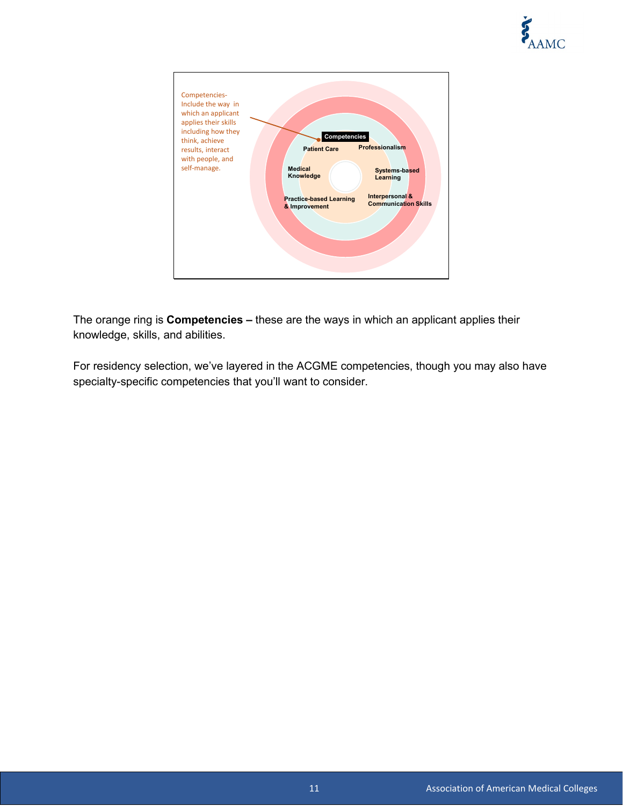



The orange ring is **Competencies –** these are the ways in which an applicant applies their knowledge, skills, and abilities.

For residency selection, we've layered in the ACGME competencies, though you may also have specialty-specific competencies that you'll want to consider.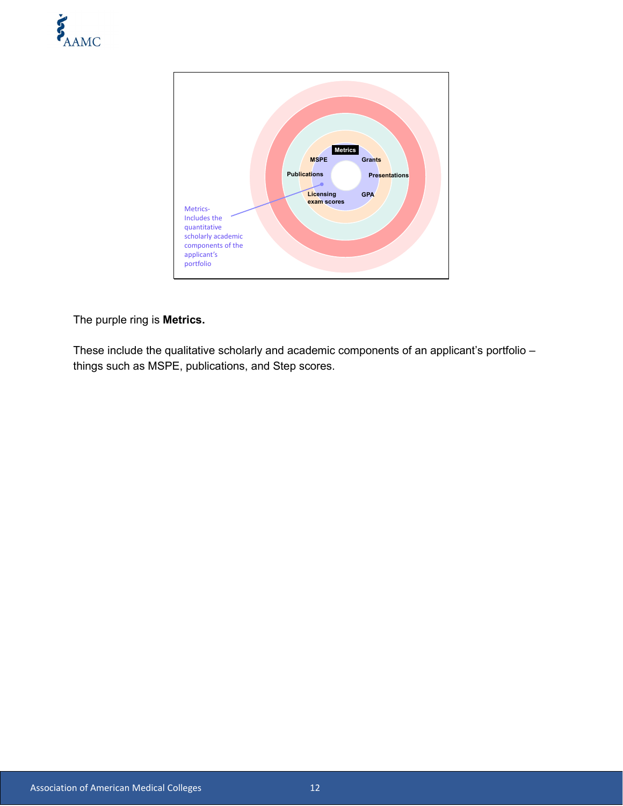



The purple ring is **Metrics.** 

These include the qualitative scholarly and academic components of an applicant's portfolio things such as MSPE, publications, and Step scores.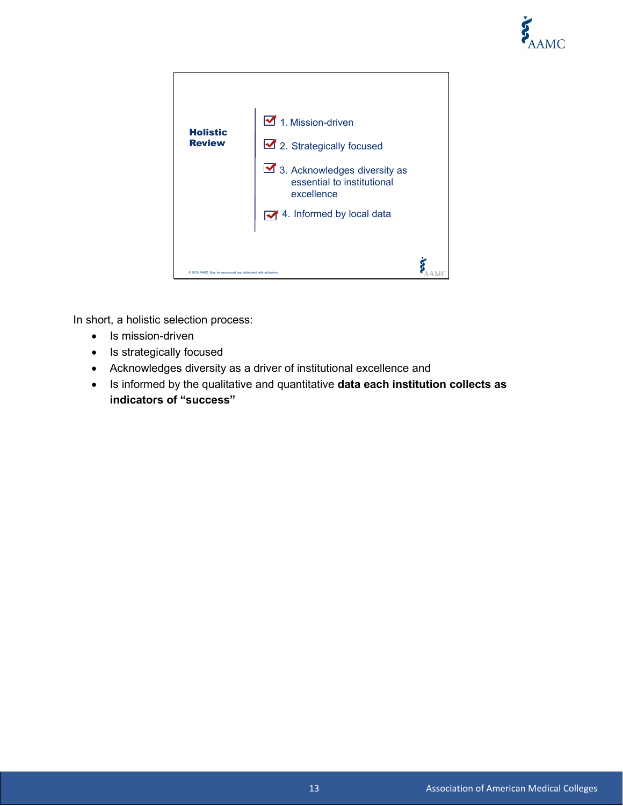



In short, a holistic selection process:

- Is mission-driven
- Is strategically focused
- Acknowledges diversity as a driver of institutional excellence and
- Is informed by the qualitative and quantitative **data each institution collects as indicators of "success"**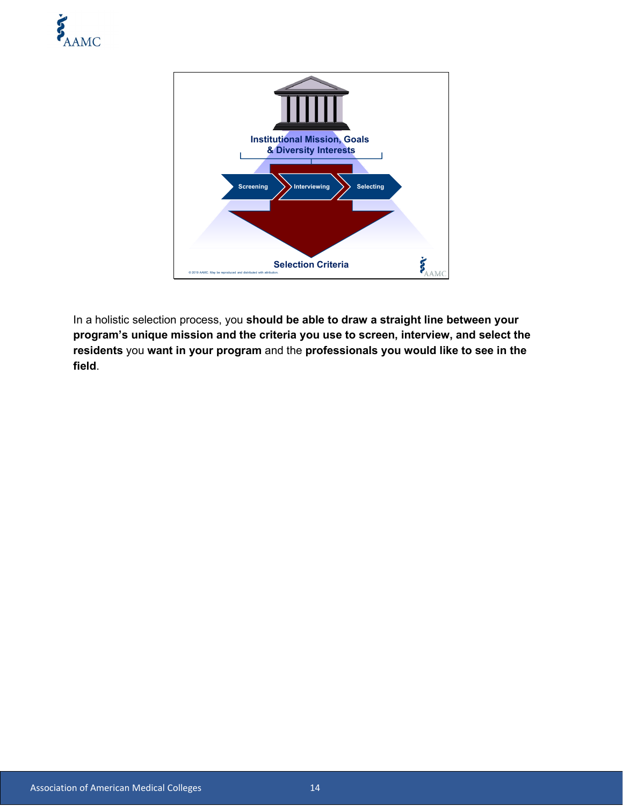



In a holistic selection process, you **should be able to draw a straight line between your program's unique mission and the criteria you use to screen, interview, and select the residents** you **want in your program** and the **professionals you would like to see in the field**.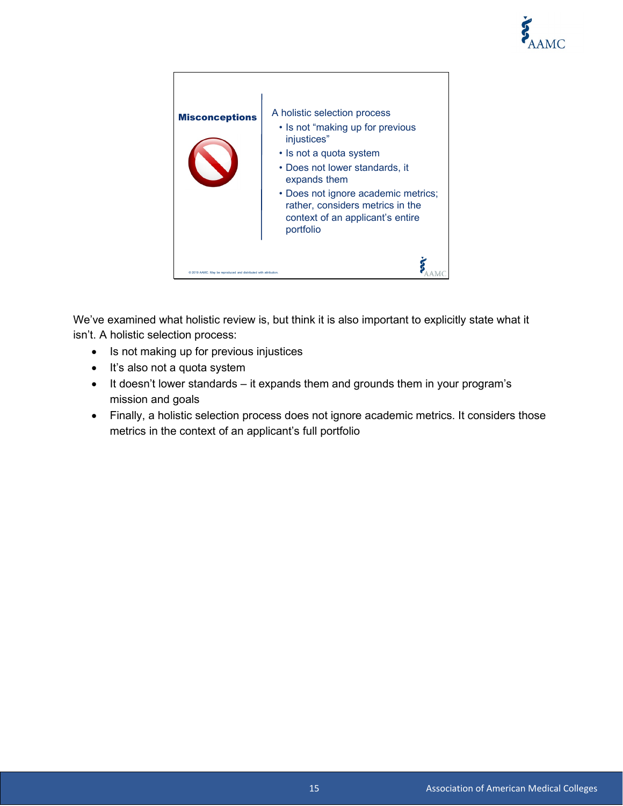



We've examined what holistic review is, but think it is also important to explicitly state what it isn't. A holistic selection process:

- Is not making up for previous injustices
- It's also not a quota system
- It doesn't lower standards it expands them and grounds them in your program's mission and goals
- Finally, a holistic selection process does not ignore academic metrics. It considers those metrics in the context of an applicant's full portfolio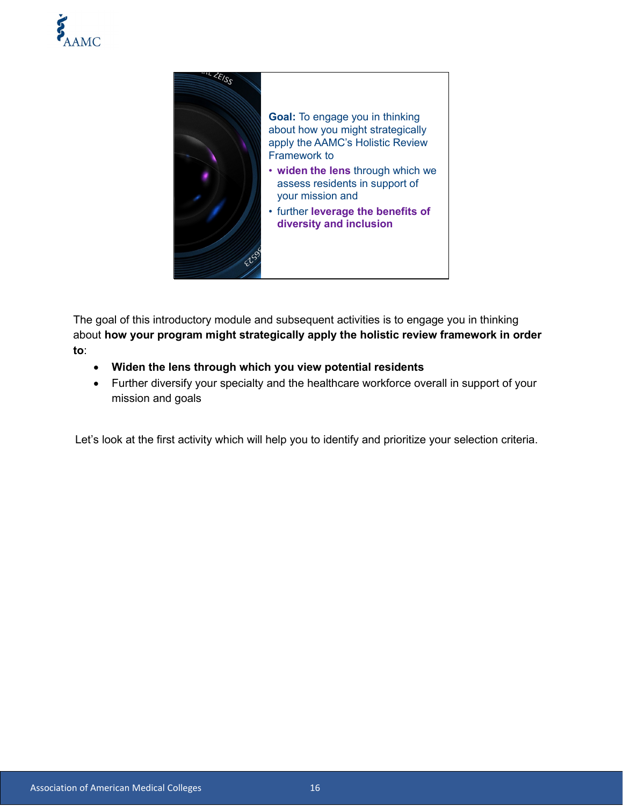



The goal of this introductory module and subsequent activities is to engage you in thinking about **how your program might strategically apply the holistic review framework in order to**:

- **Widen the lens through which you view potential residents**
- Further diversify your specialty and the healthcare workforce overall in support of your mission and goals

Let's look at the first activity which will help you to identify and prioritize your selection criteria.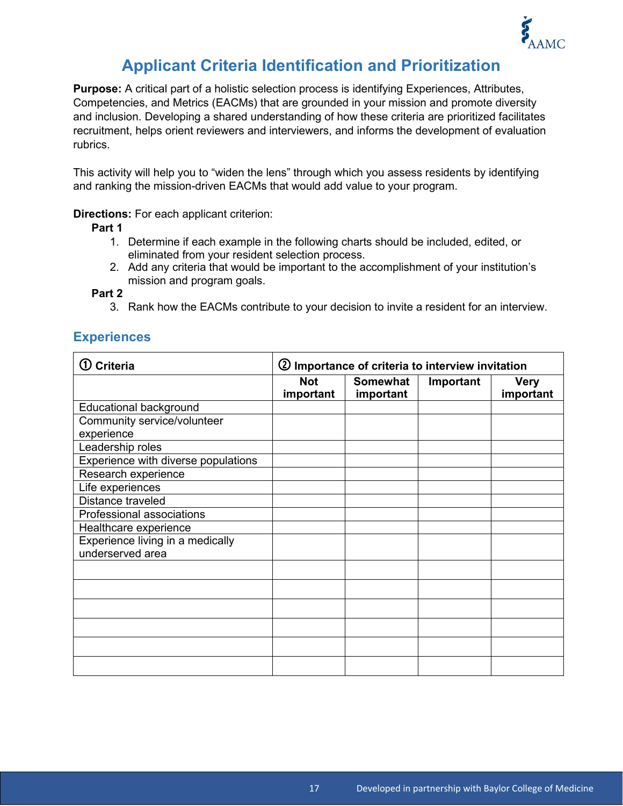

## **Applicant Criteria Identification and Prioritization**

**Purpose:** A critical part of a holistic selection process is identifying Experiences, Attributes, Competencies, and Metrics (EACMs) that are grounded in your mission and promote diversity and inclusion. Developing a shared understanding of how these criteria are prioritized facilitates recruitment, helps orient reviewers and interviewers, and informs the development of evaluation rubrics.

This activity will help you to "widen the lens" through which you assess residents by identifying and ranking the mission-driven EACMs that would add value to your program.

#### **Directions:** For each applicant criterion:

**Part 1**

- 1. Determine if each example in the following charts should be included, edited, or eliminated from your resident selection process.
- 2. Add any criteria that would be important to the accomplishment of your institution's mission and program goals.

**Part 2** 

3. Rank how the EACMs contribute to your decision to invite a resident for an interview.

#### **Experiences**

| $\textcircled{1}$ Criteria                           | 2 Importance of criteria to interview invitation |                              |           |                          |
|------------------------------------------------------|--------------------------------------------------|------------------------------|-----------|--------------------------|
|                                                      | <b>Not</b><br>important                          | <b>Somewhat</b><br>important | Important | <b>Very</b><br>important |
| <b>Educational background</b>                        |                                                  |                              |           |                          |
| Community service/volunteer                          |                                                  |                              |           |                          |
| experience                                           |                                                  |                              |           |                          |
| Leadership roles                                     |                                                  |                              |           |                          |
| Experience with diverse populations                  |                                                  |                              |           |                          |
| Research experience                                  |                                                  |                              |           |                          |
| Life experiences                                     |                                                  |                              |           |                          |
| Distance traveled                                    |                                                  |                              |           |                          |
| Professional associations                            |                                                  |                              |           |                          |
| Healthcare experience                                |                                                  |                              |           |                          |
| Experience living in a medically<br>underserved area |                                                  |                              |           |                          |
|                                                      |                                                  |                              |           |                          |
|                                                      |                                                  |                              |           |                          |
|                                                      |                                                  |                              |           |                          |
|                                                      |                                                  |                              |           |                          |
|                                                      |                                                  |                              |           |                          |
|                                                      |                                                  |                              |           |                          |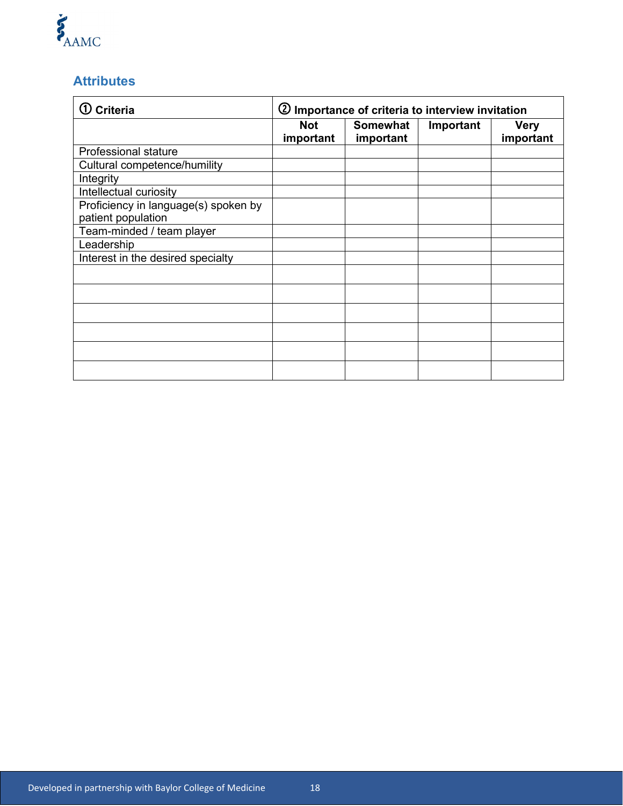# E<br>AAMC

### **Attributes**

| <b>Criteria</b>                                            | 2 Importance of criteria to interview invitation |                       |           |                          |
|------------------------------------------------------------|--------------------------------------------------|-----------------------|-----------|--------------------------|
|                                                            | <b>Not</b><br>important                          | Somewhat<br>important | Important | <b>Very</b><br>important |
| <b>Professional stature</b>                                |                                                  |                       |           |                          |
| Cultural competence/humility                               |                                                  |                       |           |                          |
| Integrity                                                  |                                                  |                       |           |                          |
| Intellectual curiosity                                     |                                                  |                       |           |                          |
| Proficiency in language(s) spoken by<br>patient population |                                                  |                       |           |                          |
| Team-minded / team player                                  |                                                  |                       |           |                          |
| Leadership                                                 |                                                  |                       |           |                          |
| Interest in the desired specialty                          |                                                  |                       |           |                          |
|                                                            |                                                  |                       |           |                          |
|                                                            |                                                  |                       |           |                          |
|                                                            |                                                  |                       |           |                          |
|                                                            |                                                  |                       |           |                          |
|                                                            |                                                  |                       |           |                          |
|                                                            |                                                  |                       |           |                          |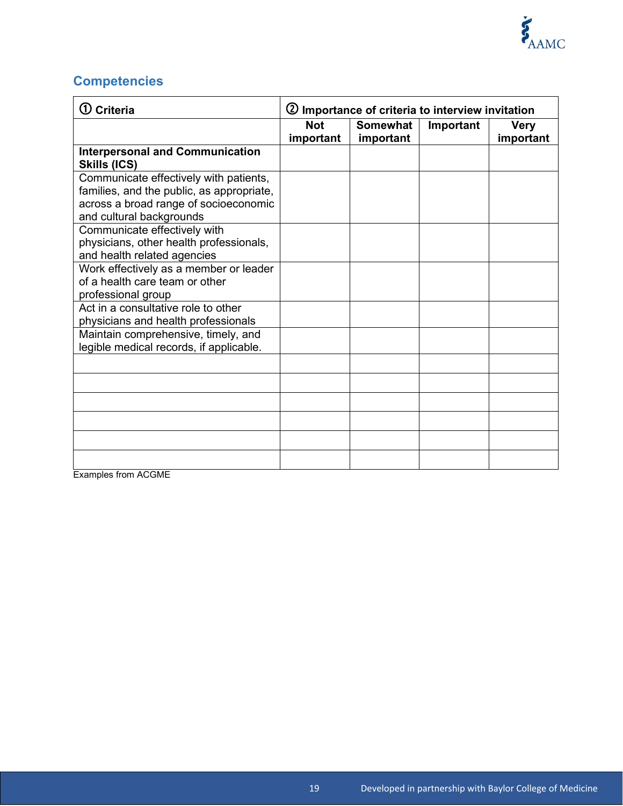# **Competencies**

| $\Omega$ Criteria                         | 2 Importance of criteria to interview invitation |                 |           |             |
|-------------------------------------------|--------------------------------------------------|-----------------|-----------|-------------|
|                                           | <b>Not</b>                                       | <b>Somewhat</b> | Important | <b>Very</b> |
|                                           | important                                        | important       |           | important   |
| <b>Interpersonal and Communication</b>    |                                                  |                 |           |             |
| Skills (ICS)                              |                                                  |                 |           |             |
| Communicate effectively with patients,    |                                                  |                 |           |             |
| families, and the public, as appropriate, |                                                  |                 |           |             |
| across a broad range of socioeconomic     |                                                  |                 |           |             |
| and cultural backgrounds                  |                                                  |                 |           |             |
| Communicate effectively with              |                                                  |                 |           |             |
| physicians, other health professionals,   |                                                  |                 |           |             |
| and health related agencies               |                                                  |                 |           |             |
| Work effectively as a member or leader    |                                                  |                 |           |             |
| of a health care team or other            |                                                  |                 |           |             |
| professional group                        |                                                  |                 |           |             |
| Act in a consultative role to other       |                                                  |                 |           |             |
| physicians and health professionals       |                                                  |                 |           |             |
| Maintain comprehensive, timely, and       |                                                  |                 |           |             |
| legible medical records, if applicable.   |                                                  |                 |           |             |
|                                           |                                                  |                 |           |             |
|                                           |                                                  |                 |           |             |
|                                           |                                                  |                 |           |             |
|                                           |                                                  |                 |           |             |
|                                           |                                                  |                 |           |             |
|                                           |                                                  |                 |           |             |

Examples from ACGME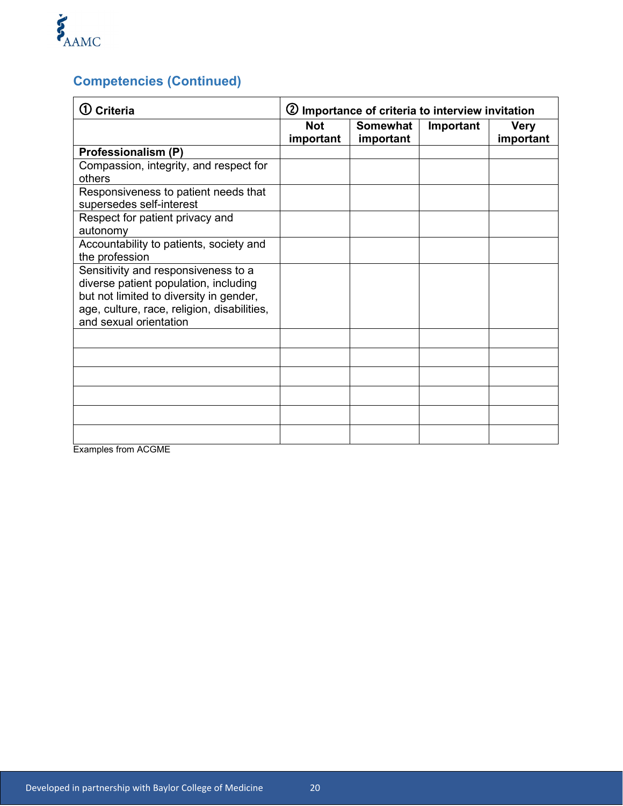

## **Competencies (Continued)**

| <b>Criteria</b>                                                                                                                                                                                  | 2 Importance of criteria to interview invitation |                              |           |                          |
|--------------------------------------------------------------------------------------------------------------------------------------------------------------------------------------------------|--------------------------------------------------|------------------------------|-----------|--------------------------|
|                                                                                                                                                                                                  | <b>Not</b><br>important                          | <b>Somewhat</b><br>important | Important | <b>Very</b><br>important |
| Professionalism (P)                                                                                                                                                                              |                                                  |                              |           |                          |
| Compassion, integrity, and respect for<br>others                                                                                                                                                 |                                                  |                              |           |                          |
| Responsiveness to patient needs that<br>supersedes self-interest                                                                                                                                 |                                                  |                              |           |                          |
| Respect for patient privacy and<br>autonomy                                                                                                                                                      |                                                  |                              |           |                          |
| Accountability to patients, society and<br>the profession                                                                                                                                        |                                                  |                              |           |                          |
| Sensitivity and responsiveness to a<br>diverse patient population, including<br>but not limited to diversity in gender,<br>age, culture, race, religion, disabilities,<br>and sexual orientation |                                                  |                              |           |                          |
|                                                                                                                                                                                                  |                                                  |                              |           |                          |
|                                                                                                                                                                                                  |                                                  |                              |           |                          |
|                                                                                                                                                                                                  |                                                  |                              |           |                          |
|                                                                                                                                                                                                  |                                                  |                              |           |                          |
|                                                                                                                                                                                                  |                                                  |                              |           |                          |
|                                                                                                                                                                                                  |                                                  |                              |           |                          |

Examples from ACGME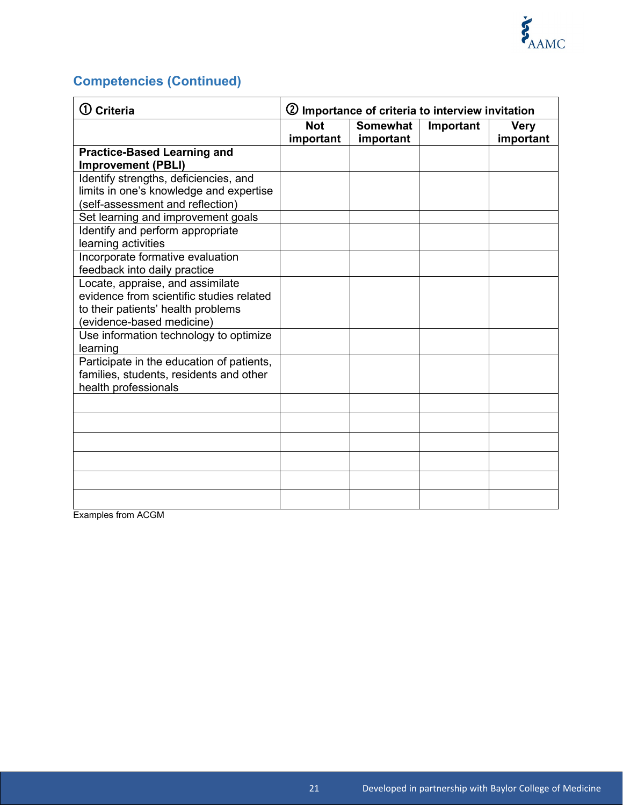

# **Competencies (Continued)**

| $\mathbf{\mathbb{O}}$ Criteria                                                                                                                             | 2 Importance of criteria to interview invitation |                              |           |                          |
|------------------------------------------------------------------------------------------------------------------------------------------------------------|--------------------------------------------------|------------------------------|-----------|--------------------------|
|                                                                                                                                                            | <b>Not</b><br>important                          | <b>Somewhat</b><br>important | Important | <b>Very</b><br>important |
| <b>Practice-Based Learning and</b><br><b>Improvement (PBLI)</b>                                                                                            |                                                  |                              |           |                          |
| Identify strengths, deficiencies, and<br>limits in one's knowledge and expertise<br>(self-assessment and reflection)<br>Set learning and improvement goals |                                                  |                              |           |                          |
| Identify and perform appropriate<br>learning activities                                                                                                    |                                                  |                              |           |                          |
| Incorporate formative evaluation<br>feedback into daily practice                                                                                           |                                                  |                              |           |                          |
| Locate, appraise, and assimilate<br>evidence from scientific studies related<br>to their patients' health problems<br>(evidence-based medicine)            |                                                  |                              |           |                          |
| Use information technology to optimize<br>learning                                                                                                         |                                                  |                              |           |                          |
| Participate in the education of patients,<br>families, students, residents and other<br>health professionals                                               |                                                  |                              |           |                          |
|                                                                                                                                                            |                                                  |                              |           |                          |
|                                                                                                                                                            |                                                  |                              |           |                          |
|                                                                                                                                                            |                                                  |                              |           |                          |
|                                                                                                                                                            |                                                  |                              |           |                          |
|                                                                                                                                                            |                                                  |                              |           |                          |

Examples from ACGM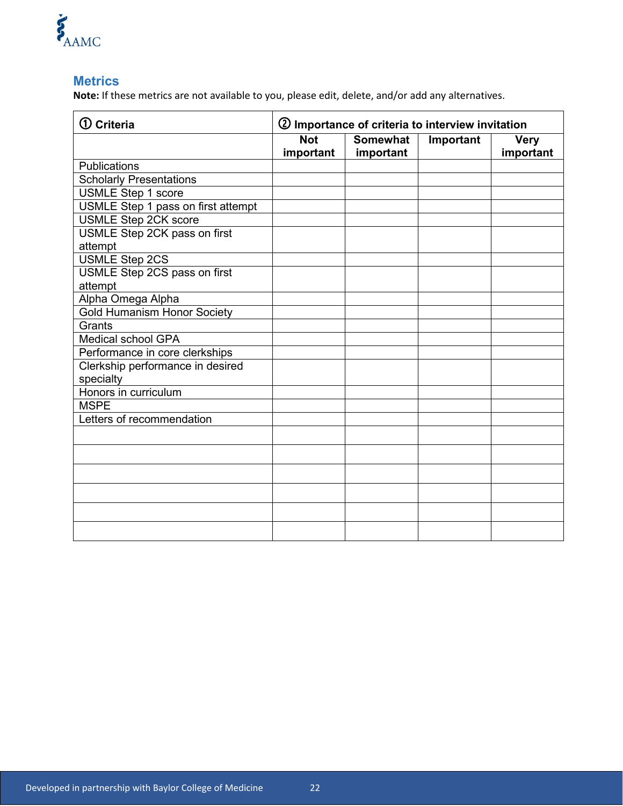

#### **Metrics**

**Note:** If these metrics are not available to you, please edit, delete, and/or add any alternatives.

| $\mathbf 0$ Criteria               | 2 Importance of criteria to interview invitation |                              |           |                          |
|------------------------------------|--------------------------------------------------|------------------------------|-----------|--------------------------|
|                                    | <b>Not</b><br>important                          | <b>Somewhat</b><br>important | Important | <b>Very</b><br>important |
| <b>Publications</b>                |                                                  |                              |           |                          |
| <b>Scholarly Presentations</b>     |                                                  |                              |           |                          |
| <b>USMLE Step 1 score</b>          |                                                  |                              |           |                          |
| USMLE Step 1 pass on first attempt |                                                  |                              |           |                          |
| <b>USMLE Step 2CK score</b>        |                                                  |                              |           |                          |
| USMLE Step 2CK pass on first       |                                                  |                              |           |                          |
| attempt                            |                                                  |                              |           |                          |
| <b>USMLE Step 2CS</b>              |                                                  |                              |           |                          |
| USMLE Step 2CS pass on first       |                                                  |                              |           |                          |
| attempt                            |                                                  |                              |           |                          |
| Alpha Omega Alpha                  |                                                  |                              |           |                          |
| <b>Gold Humanism Honor Society</b> |                                                  |                              |           |                          |
| Grants                             |                                                  |                              |           |                          |
| <b>Medical school GPA</b>          |                                                  |                              |           |                          |
| Performance in core clerkships     |                                                  |                              |           |                          |
| Clerkship performance in desired   |                                                  |                              |           |                          |
| specialty                          |                                                  |                              |           |                          |
| Honors in curriculum               |                                                  |                              |           |                          |
| <b>MSPE</b>                        |                                                  |                              |           |                          |
| Letters of recommendation          |                                                  |                              |           |                          |
|                                    |                                                  |                              |           |                          |
|                                    |                                                  |                              |           |                          |
|                                    |                                                  |                              |           |                          |
|                                    |                                                  |                              |           |                          |
|                                    |                                                  |                              |           |                          |
|                                    |                                                  |                              |           |                          |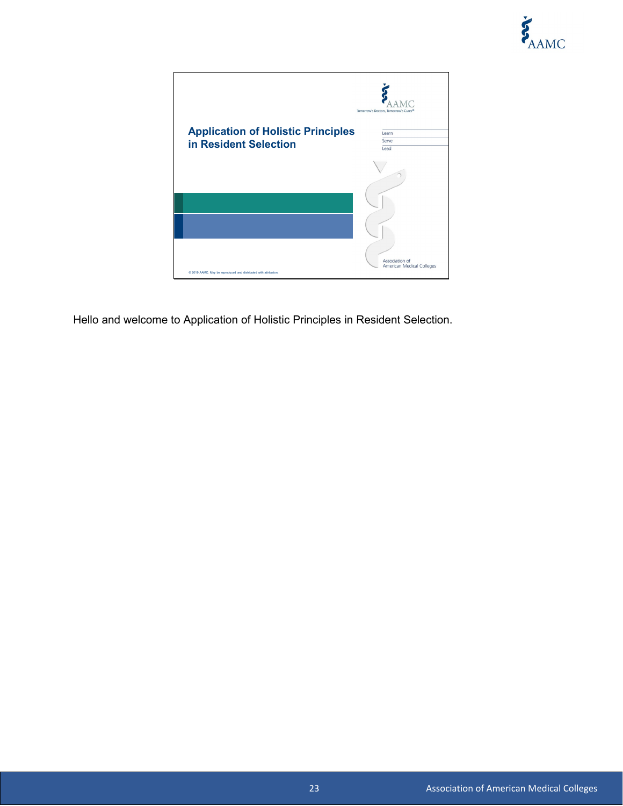

|                                                                  | Tomorrow's Doctors, Tomorrow's Cures <sup>®</sup> |
|------------------------------------------------------------------|---------------------------------------------------|
| <b>Application of Holistic Principles</b>                        | Learn                                             |
|                                                                  | Serve                                             |
| in Resident Selection                                            | Lead                                              |
|                                                                  |                                                   |
|                                                                  |                                                   |
|                                                                  | Association of<br>American Medical Colleges       |
| @ 2019 AAMC. May be reproduced and distributed with attribution. |                                                   |

Hello and welcome to Application of Holistic Principles in Resident Selection.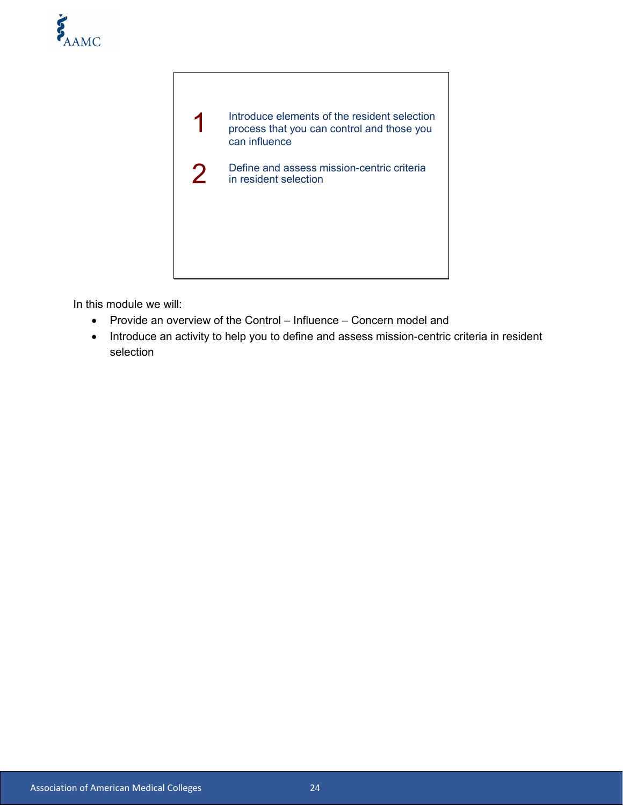



In this module we will:

- Provide an overview of the Control Influence Concern model and
- Introduce an activity to help you to define and assess mission-centric criteria in resident selection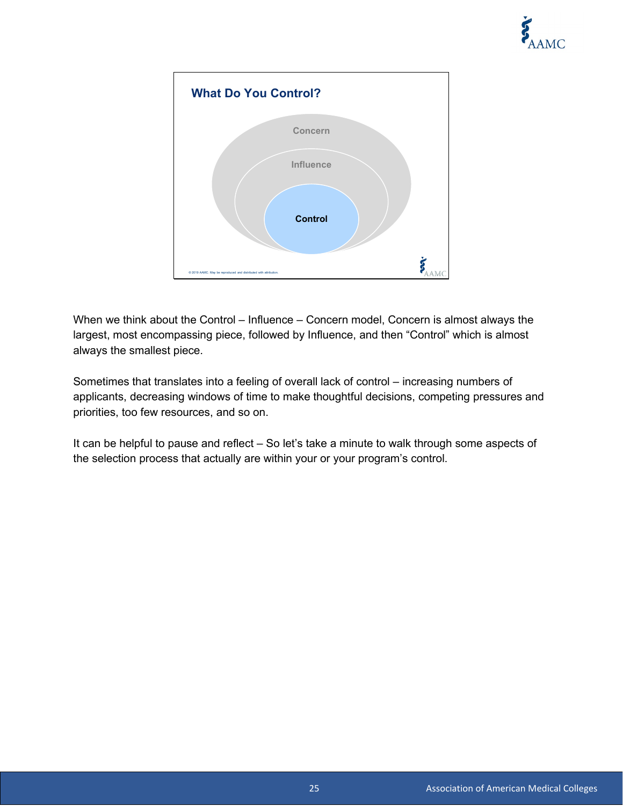



When we think about the Control – Influence – Concern model, Concern is almost always the largest, most encompassing piece, followed by Influence, and then "Control" which is almost always the smallest piece.

Sometimes that translates into a feeling of overall lack of control – increasing numbers of applicants, decreasing windows of time to make thoughtful decisions, competing pressures and priorities, too few resources, and so on.

It can be helpful to pause and reflect – So let's take a minute to walk through some aspects of the selection process that actually are within your or your program's control.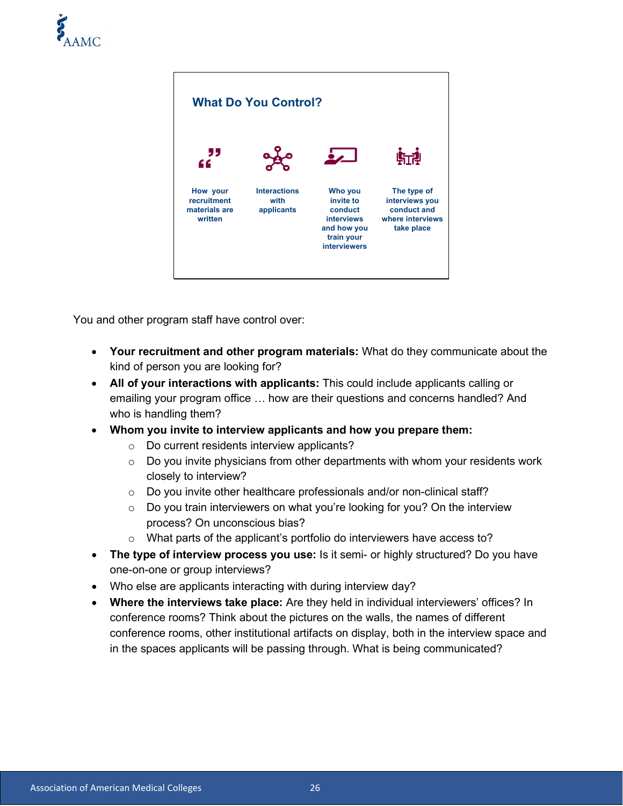



You and other program staff have control over:

- **Your recruitment and other program materials:** What do they communicate about the kind of person you are looking for?
- **All of your interactions with applicants:** This could include applicants calling or emailing your program office … how are their questions and concerns handled? And who is handling them?
- **Whom you invite to interview applicants and how you prepare them:** 
	- o Do current residents interview applicants?
	- $\circ$  Do you invite physicians from other departments with whom your residents work closely to interview?
	- o Do you invite other healthcare professionals and/or non-clinical staff?
	- o Do you train interviewers on what you're looking for you? On the interview process? On unconscious bias?
	- o What parts of the applicant's portfolio do interviewers have access to?
- **The type of interview process you use:** Is it semi- or highly structured? Do you have one-on-one or group interviews?
- Who else are applicants interacting with during interview day?
- **Where the interviews take place:** Are they held in individual interviewers' offices? In conference rooms? Think about the pictures on the walls, the names of different conference rooms, other institutional artifacts on display, both in the interview space and in the spaces applicants will be passing through. What is being communicated?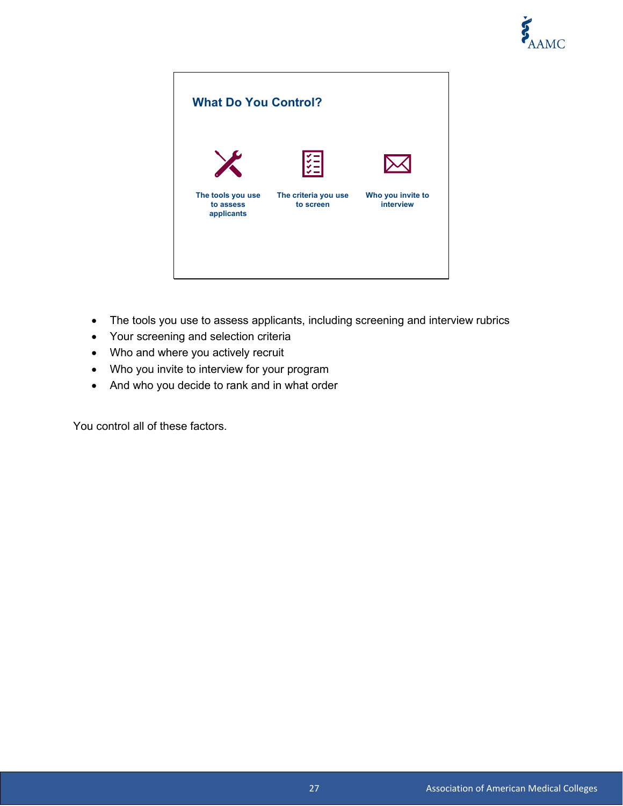



- The tools you use to assess applicants, including screening and interview rubrics
- Your screening and selection criteria
- Who and where you actively recruit
- Who you invite to interview for your program
- And who you decide to rank and in what order

You control all of these factors.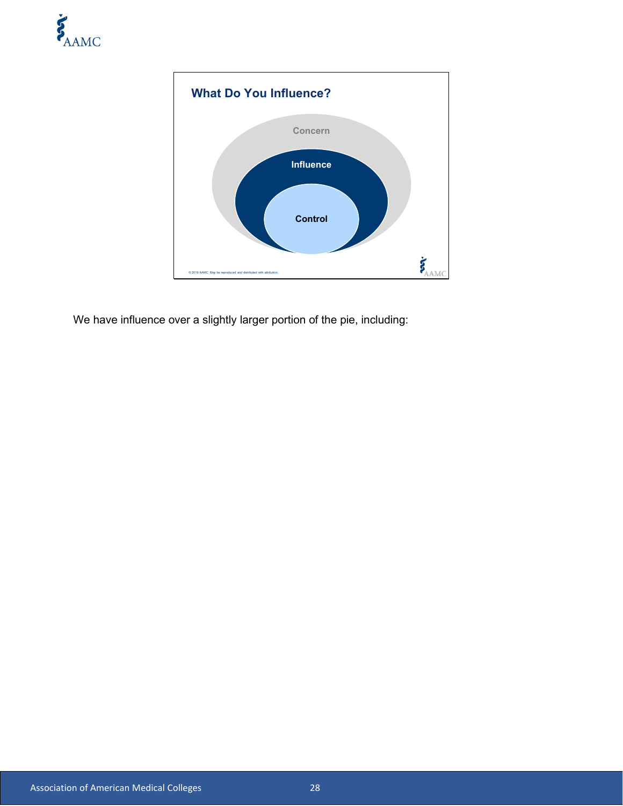



We have influence over a slightly larger portion of the pie, including: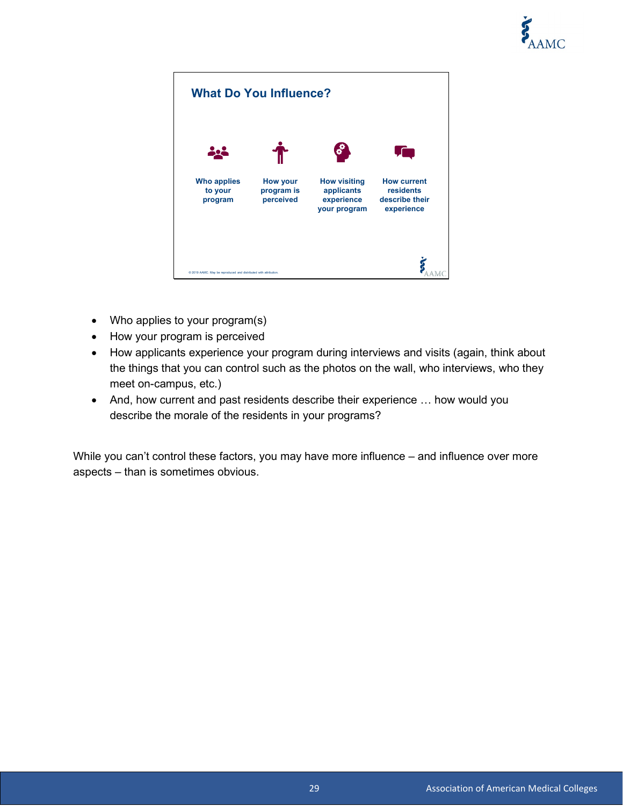



- Who applies to your program(s)
- How your program is perceived
- How applicants experience your program during interviews and visits (again, think about the things that you can control such as the photos on the wall, who interviews, who they meet on-campus, etc.)
- And, how current and past residents describe their experience … how would you describe the morale of the residents in your programs?

While you can't control these factors, you may have more influence – and influence over more aspects – than is sometimes obvious.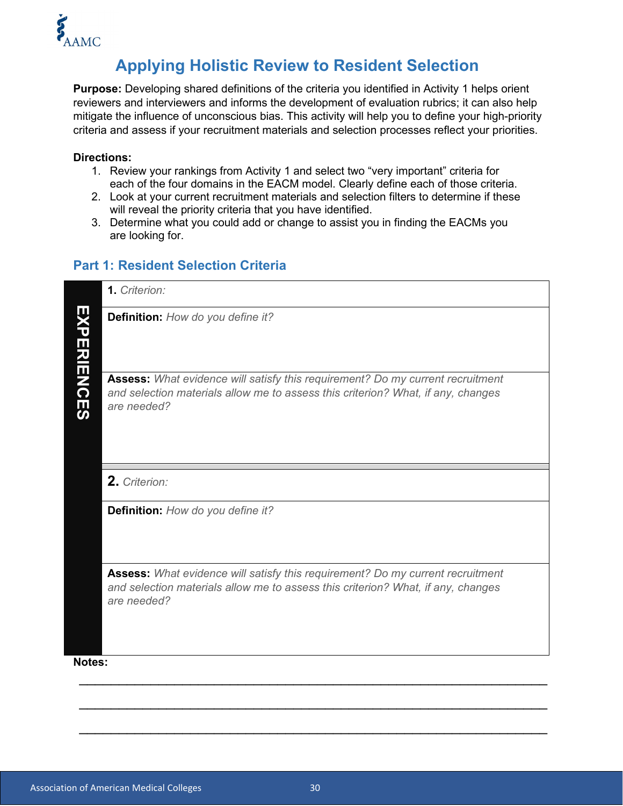

## **Applying Holistic Review to Resident Selection**

**Purpose:** Developing shared definitions of the criteria you identified in Activity 1 helps orient reviewers and interviewers and informs the development of evaluation rubrics; it can also help mitigate the influence of unconscious bias. This activity will help you to define your high-priority criteria and assess if your recruitment materials and selection processes reflect your priorities.

#### **Directions:**

- 1. Review your rankings from Activity 1 and select two "very important" criteria for each of the four domains in the EACM model. Clearly define each of those criteria.
- 2. Look at your current recruitment materials and selection filters to determine if these will reveal the priority criteria that you have identified.
- 3. Determine what you could add or change to assist you in finding the EACMs you are looking for.

#### **Part 1: Resident Selection Criteria**

|                        | 1. Criterion:                                                                                                                                                                     |
|------------------------|-----------------------------------------------------------------------------------------------------------------------------------------------------------------------------------|
| Ш<br><b>XPERIENCES</b> | Definition: How do you define it?                                                                                                                                                 |
|                        | Assess: What evidence will satisfy this requirement? Do my current recruitment<br>and selection materials allow me to assess this criterion? What, if any, changes<br>are needed? |
|                        | 2. Criterion:                                                                                                                                                                     |
|                        | Definition: How do you define it?                                                                                                                                                 |
|                        | Assess: What evidence will satisfy this requirement? Do my current recruitment<br>and selection materials allow me to assess this criterion? What, if any, changes<br>are needed? |
| Notes:                 |                                                                                                                                                                                   |

 $\overline{\phantom{a}}$  , and the contribution of the contribution of the contribution of the contribution of the contribution of the contribution of the contribution of the contribution of the contribution of the contribution of the

\_\_\_\_\_\_\_\_\_\_\_\_\_\_\_\_\_\_\_\_\_\_\_\_\_\_\_\_\_\_\_\_\_\_\_\_\_\_\_\_\_\_\_\_\_\_\_\_\_\_\_\_\_\_\_\_\_\_\_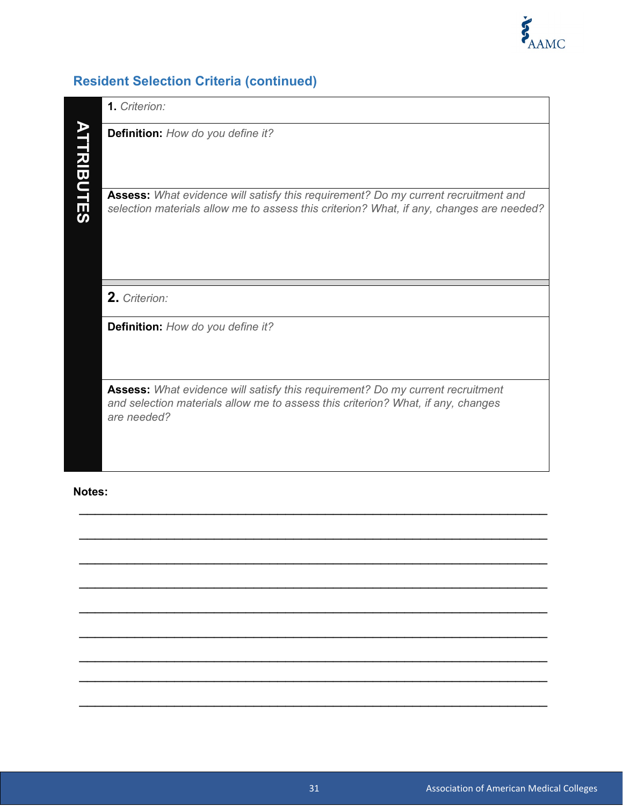

## **Resident Selection Criteria (continued)**

|                   | <b>1.</b> Criterion:                                                                                                                                                                     |
|-------------------|------------------------------------------------------------------------------------------------------------------------------------------------------------------------------------------|
| <b>ATTRIBUTES</b> | <b>Definition:</b> How do you define it?                                                                                                                                                 |
|                   | <b>Assess:</b> What evidence will satisfy this requirement? Do my current recruitment and<br>selection materials allow me to assess this criterion? What, if any, changes are needed?    |
|                   |                                                                                                                                                                                          |
|                   | 2. Criterion:                                                                                                                                                                            |
|                   | <b>Definition:</b> How do you define it?                                                                                                                                                 |
|                   | <b>Assess:</b> What evidence will satisfy this requirement? Do my current recruitment<br>and selection materials allow me to assess this criterion? What, if any, changes<br>are needed? |

\_\_\_\_\_\_\_\_\_\_\_\_\_\_\_\_\_\_\_\_\_\_\_\_\_\_\_\_\_\_\_\_\_\_\_\_\_\_\_\_\_\_\_\_\_\_\_\_\_\_\_\_\_\_\_\_\_\_\_

 $\overline{\phantom{a}}$  , and the contribution of the contribution of the contribution of the contribution of the contribution of the contribution of the contribution of the contribution of the contribution of the contribution of the

\_\_\_\_\_\_\_\_\_\_\_\_\_\_\_\_\_\_\_\_\_\_\_\_\_\_\_\_\_\_\_\_\_\_\_\_\_\_\_\_\_\_\_\_\_\_\_\_\_\_\_\_\_\_\_\_\_\_\_

 $\overline{\phantom{a}}$  , and the contribution of the contribution of the contribution of the contribution of the contribution of the contribution of the contribution of the contribution of the contribution of the contribution of the

 $\overline{\phantom{a}}$  , and the contribution of the contribution of the contribution of the contribution of the contribution of the contribution of the contribution of the contribution of the contribution of the contribution of the

\_\_\_\_\_\_\_\_\_\_\_\_\_\_\_\_\_\_\_\_\_\_\_\_\_\_\_\_\_\_\_\_\_\_\_\_\_\_\_\_\_\_\_\_\_\_\_\_\_\_\_\_\_\_\_\_\_\_\_

 $\overline{\phantom{a}}$  , and the contribution of the contribution of the contribution of the contribution of the contribution of the contribution of the contribution of the contribution of the contribution of the contribution of the \_\_\_\_\_\_\_\_\_\_\_\_\_\_\_\_\_\_\_\_\_\_\_\_\_\_\_\_\_\_\_\_\_\_\_\_\_\_\_\_\_\_\_\_\_\_\_\_\_\_\_\_\_\_\_\_\_\_\_

 $\overline{\phantom{a}}$  , and the contribution of the contribution of the contribution of the contribution of the contribution of the contribution of the contribution of the contribution of the contribution of the contribution of the

#### **Notes:**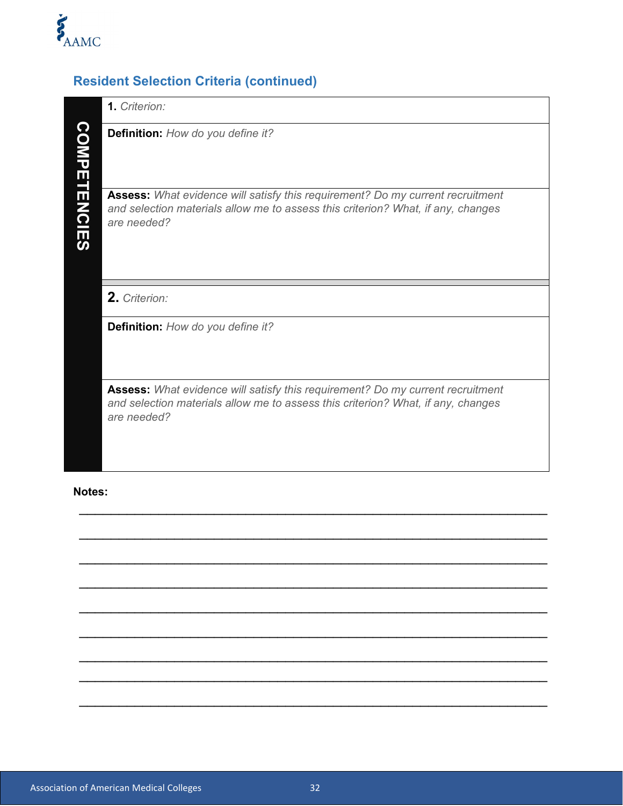

## **Resident Selection Criteria (continued)**

|                     | 1. Criterion:                                                                                                                                                                            |
|---------------------|------------------------------------------------------------------------------------------------------------------------------------------------------------------------------------------|
| <b>COMPETENCIES</b> | <b>Definition:</b> How do you define it?                                                                                                                                                 |
|                     | <b>Assess:</b> What evidence will satisfy this requirement? Do my current recruitment<br>and selection materials allow me to assess this criterion? What, if any, changes<br>are needed? |
|                     |                                                                                                                                                                                          |
|                     | 2. Criterion:                                                                                                                                                                            |
|                     | <b>Definition:</b> How do you define it?                                                                                                                                                 |
|                     | <b>Assess:</b> What evidence will satisfy this requirement? Do my current recruitment<br>and selection materials allow me to assess this criterion? What, if any, changes<br>are needed? |

\_\_\_\_\_\_\_\_\_\_\_\_\_\_\_\_\_\_\_\_\_\_\_\_\_\_\_\_\_\_\_\_\_\_\_\_\_\_\_\_\_\_\_\_\_\_\_\_\_\_\_\_\_\_\_\_\_\_\_

 $\overline{\phantom{a}}$  , and the contribution of the contribution of the contribution of the contribution of the contribution of the contribution of the contribution of the contribution of the contribution of the contribution of the

\_\_\_\_\_\_\_\_\_\_\_\_\_\_\_\_\_\_\_\_\_\_\_\_\_\_\_\_\_\_\_\_\_\_\_\_\_\_\_\_\_\_\_\_\_\_\_\_\_\_\_\_\_\_\_\_\_\_\_

 $\overline{\phantom{a}}$  , and the contribution of the contribution of the contribution of the contribution of the contribution of the contribution of the contribution of the contribution of the contribution of the contribution of the

 $\overline{\phantom{a}}$  , and the contribution of the contribution of the contribution of the contribution of the contribution of the contribution of the contribution of the contribution of the contribution of the contribution of the

\_\_\_\_\_\_\_\_\_\_\_\_\_\_\_\_\_\_\_\_\_\_\_\_\_\_\_\_\_\_\_\_\_\_\_\_\_\_\_\_\_\_\_\_\_\_\_\_\_\_\_\_\_\_\_\_\_\_\_

 $\overline{\phantom{a}}$  , and the contribution of the contribution of the contribution of the contribution of the contribution of the contribution of the contribution of the contribution of the contribution of the contribution of the \_\_\_\_\_\_\_\_\_\_\_\_\_\_\_\_\_\_\_\_\_\_\_\_\_\_\_\_\_\_\_\_\_\_\_\_\_\_\_\_\_\_\_\_\_\_\_\_\_\_\_\_\_\_\_\_\_\_\_

 $\overline{\phantom{a}}$  , and the contribution of the contribution of the contribution of the contribution of the contribution of the contribution of the contribution of the contribution of the contribution of the contribution of the

#### **Notes:**